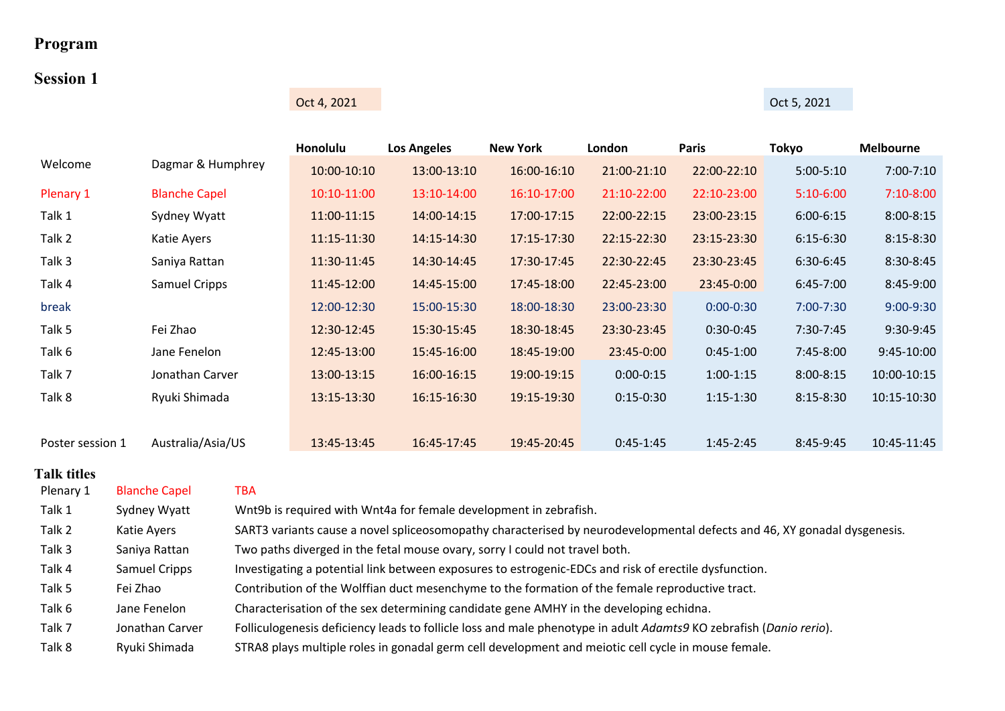# **Program**

# **Session 1**

Oct 4, 2021 Oct 5, 2021

|                  |                      | Honolulu    | <b>Los Angeles</b> | <b>New York</b> | London      | <b>Paris</b> | <b>Tokyo</b>  | <b>Melbourne</b> |
|------------------|----------------------|-------------|--------------------|-----------------|-------------|--------------|---------------|------------------|
| Welcome          | Dagmar & Humphrey    | 10:00-10:10 | 13:00-13:10        | 16:00-16:10     | 21:00-21:10 | 22:00-22:10  | $5:00-5:10$   | $7:00 - 7:10$    |
| Plenary 1        | <b>Blanche Capel</b> | 10:10-11:00 | 13:10-14:00        | 16:10-17:00     | 21:10-22:00 | 22:10-23:00  | $5:10-6:00$   | $7:10-8:00$      |
| Talk 1           | Sydney Wyatt         | 11:00-11:15 | 14:00-14:15        | 17:00-17:15     | 22:00-22:15 | 23:00-23:15  | $6:00 - 6:15$ | $8:00 - 8:15$    |
| Talk 2           | Katie Ayers          | 11:15-11:30 | 14:15-14:30        | 17:15-17:30     | 22:15-22:30 | 23:15-23:30  | $6:15-6:30$   | $8:15 - 8:30$    |
| Talk 3           | Saniya Rattan        | 11:30-11:45 | 14:30-14:45        | 17:30-17:45     | 22:30-22:45 | 23:30-23:45  | 6:30-6:45     | 8:30-8:45        |
| Talk 4           | Samuel Cripps        | 11:45-12:00 | 14:45-15:00        | 17:45-18:00     | 22:45-23:00 | 23:45-0:00   | $6:45-7:00$   | 8:45-9:00        |
| break            |                      | 12:00-12:30 | 15:00-15:30        | 18:00-18:30     | 23:00-23:30 | $0:00-0:30$  | 7:00-7:30     | $9:00-9:30$      |
| Talk 5           | Fei Zhao             | 12:30-12:45 | 15:30-15:45        | 18:30-18:45     | 23:30-23:45 | $0:30-0:45$  | 7:30-7:45     | 9:30-9:45        |
| Talk 6           | Jane Fenelon         | 12:45-13:00 | 15:45-16:00        | 18:45-19:00     | 23:45-0:00  | $0:45-1:00$  | 7:45-8:00     | $9:45-10:00$     |
| Talk 7           | Jonathan Carver      | 13:00-13:15 | 16:00-16:15        | 19:00-19:15     | $0:00-0:15$ | $1:00-1:15$  | $8:00 - 8:15$ | 10:00-10:15      |
| Talk 8           | Ryuki Shimada        | 13:15-13:30 | 16:15-16:30        | 19:15-19:30     | $0:15-0:30$ | $1:15-1:30$  | $8:15 - 8:30$ | 10:15-10:30      |
|                  |                      |             |                    |                 |             |              |               |                  |
| Poster session 1 | Australia/Asia/US    | 13:45-13:45 | 16:45-17:45        | 19:45-20:45     | $0:45-1:45$ | $1:45-2:45$  | 8:45-9:45     | 10:45-11:45      |

| Plenary 1 | <b>Blanche Capel</b> | TBA                                                                                                                      |
|-----------|----------------------|--------------------------------------------------------------------------------------------------------------------------|
| Talk 1    | Sydney Wyatt         | Wnt9b is required with Wnt4a for female development in zebrafish.                                                        |
| Talk 2    | Katie Ayers          | SART3 variants cause a novel spliceosomopathy characterised by neurodevelopmental defects and 46, XY gonadal dysgenesis. |
| Talk 3    | Saniya Rattan        | Two paths diverged in the fetal mouse ovary, sorry I could not travel both.                                              |
| Talk 4    | Samuel Cripps        | Investigating a potential link between exposures to estrogenic-EDCs and risk of erectile dysfunction.                    |
| Talk 5    | Fei Zhao             | Contribution of the Wolffian duct mesenchyme to the formation of the female reproductive tract.                          |
| Talk 6    | Jane Fenelon         | Characterisation of the sex determining candidate gene AMHY in the developing echidna.                                   |
| Talk 7    | Jonathan Carver      | Folliculogenesis deficiency leads to follicle loss and male phenotype in adult Adamts9 KO zebrafish (Danio rerio).       |
| Talk 8    | Ryuki Shimada        | STRA8 plays multiple roles in gonadal germ cell development and meiotic cell cycle in mouse female.                      |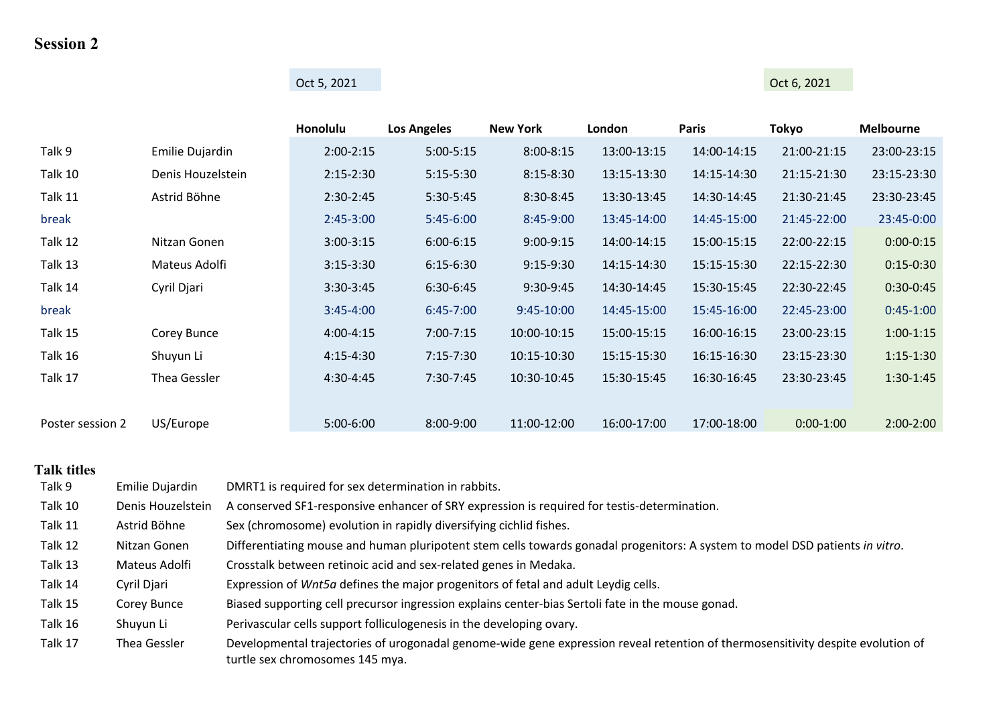# **Session 2**

# Oct 5, 2021 **Oct 6, 2021**

|                  |                   | Honolulu      | <b>Los Angeles</b> | <b>New York</b> | London      | <b>Paris</b> | <b>Tokyo</b> | <b>Melbourne</b> |
|------------------|-------------------|---------------|--------------------|-----------------|-------------|--------------|--------------|------------------|
| Talk 9           | Emilie Dujardin   | $2:00-2:15$   | $5:00-5:15$        | $8:00 - 8:15$   | 13:00-13:15 | 14:00-14:15  | 21:00-21:15  | 23:00-23:15      |
| Talk 10          | Denis Houzelstein | $2:15 - 2:30$ | $5:15-5:30$        | $8:15 - 8:30$   | 13:15-13:30 | 14:15-14:30  | 21:15-21:30  | 23:15-23:30      |
| Talk 11          | Astrid Böhne      | 2:30-2:45     | $5:30-5:45$        | 8:30-8:45       | 13:30-13:45 | 14:30-14:45  | 21:30-21:45  | 23:30-23:45      |
| break            |                   | $2:45-3:00$   | $5:45-6:00$        | 8:45-9:00       | 13:45-14:00 | 14:45-15:00  | 21:45-22:00  | 23:45-0:00       |
| Talk 12          | Nitzan Gonen      | $3:00 - 3:15$ | $6:00 - 6:15$      | $9:00-9:15$     | 14:00-14:15 | 15:00-15:15  | 22:00-22:15  | $0:00-0:15$      |
| Talk 13          | Mateus Adolfi     | $3:15-3:30$   | $6:15-6:30$        | $9:15-9:30$     | 14:15-14:30 | 15:15-15:30  | 22:15-22:30  | $0:15-0:30$      |
| Talk 14          | Cyril Djari       | 3:30-3:45     | 6:30-6:45          | 9:30-9:45       | 14:30-14:45 | 15:30-15:45  | 22:30-22:45  | $0:30-0:45$      |
| break            |                   | $3:45 - 4:00$ | $6:45 - 7:00$      | 9:45-10:00      | 14:45-15:00 | 15:45-16:00  | 22:45-23:00  | $0:45-1:00$      |
| Talk 15          | Corey Bunce       | $4:00 - 4:15$ | $7:00 - 7:15$      | 10:00-10:15     | 15:00-15:15 | 16:00-16:15  | 23:00-23:15  | $1:00-1:15$      |
| Talk 16          | Shuyun Li         | $4:15 - 4:30$ | $7:15-7:30$        | 10:15-10:30     | 15:15-15:30 | 16:15-16:30  | 23:15-23:30  | $1:15-1:30$      |
| Talk 17          | Thea Gessler      | $4:30-4:45$   | $7:30-7:45$        | 10:30-10:45     | 15:30-15:45 | 16:30-16:45  | 23:30-23:45  | $1:30-1:45$      |
|                  |                   |               |                    |                 |             |              |              |                  |
| Poster session 2 | US/Europe         | 5:00-6:00     | 8:00-9:00          | 11:00-12:00     | 16:00-17:00 | 17:00-18:00  | $0:00-1:00$  | $2:00-2:00$      |

| Talk 9  | Emilie Dujardin   | DMRT1 is required for sex determination in rabbits.                                                                                                                |
|---------|-------------------|--------------------------------------------------------------------------------------------------------------------------------------------------------------------|
| Talk 10 | Denis Houzelstein | A conserved SF1-responsive enhancer of SRY expression is required for testis-determination.                                                                        |
| Talk 11 | Astrid Böhne      | Sex (chromosome) evolution in rapidly diversifying cichlid fishes.                                                                                                 |
| Talk 12 | Nitzan Gonen      | Differentiating mouse and human pluripotent stem cells towards gonadal progenitors: A system to model DSD patients in vitro.                                       |
| Talk 13 | Mateus Adolfi     | Crosstalk between retinoic acid and sex-related genes in Medaka.                                                                                                   |
| Talk 14 | Cyril Djari       | Expression of Wnt5a defines the major progenitors of fetal and adult Leydig cells.                                                                                 |
| Talk 15 | Corey Bunce       | Biased supporting cell precursor ingression explains center-bias Sertoli fate in the mouse gonad.                                                                  |
| Talk 16 | Shuyun Li         | Perivascular cells support folliculogenesis in the developing ovary.                                                                                               |
| Talk 17 | Thea Gessler      | Developmental trajectories of urogonadal genome-wide gene expression reveal retention of thermosensitivity despite evolution of<br>turtle sex chromosomes 145 mya. |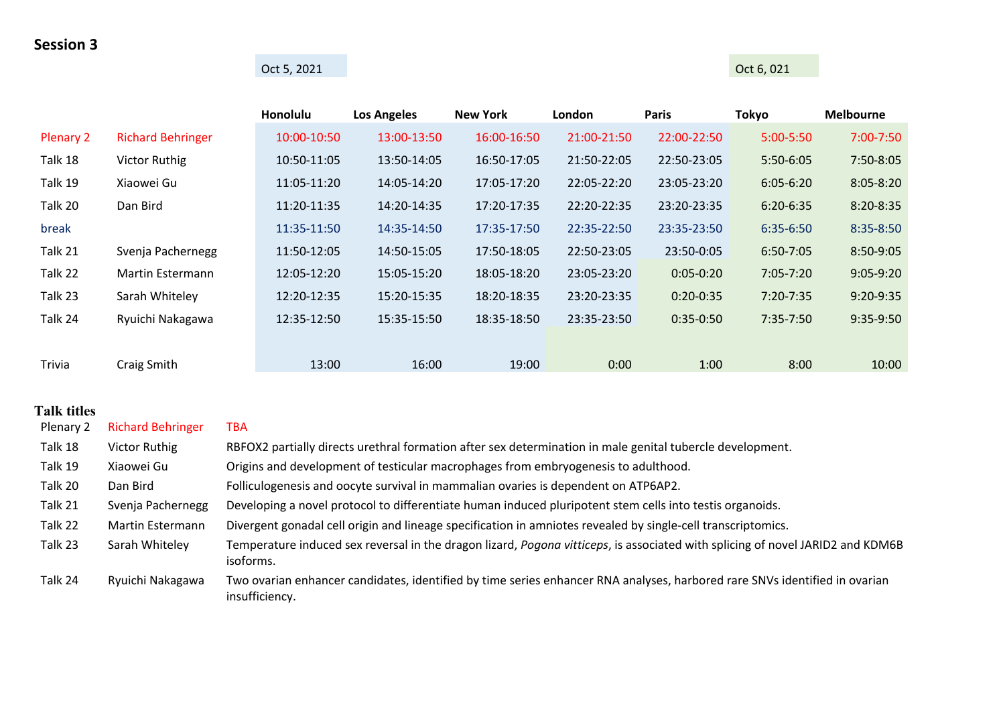### **Session 3**

# Oct 5, 2021 **Oct 6, 021**

|                  |                          | Honolulu    | <b>Los Angeles</b> | <b>New York</b> | London      | <b>Paris</b> | <b>Tokyo</b>  | <b>Melbourne</b> |
|------------------|--------------------------|-------------|--------------------|-----------------|-------------|--------------|---------------|------------------|
| <b>Plenary 2</b> | <b>Richard Behringer</b> | 10:00-10:50 | 13:00-13:50        | 16:00-16:50     | 21:00-21:50 | 22:00-22:50  | $5:00 - 5:50$ | 7:00-7:50        |
| Talk 18          | <b>Victor Ruthig</b>     | 10:50-11:05 | 13:50-14:05        | 16:50-17:05     | 21:50-22:05 | 22:50-23:05  | 5:50-6:05     | 7:50-8:05        |
| Talk 19          | Xiaowei Gu               | 11:05-11:20 | 14:05-14:20        | 17:05-17:20     | 22:05-22:20 | 23:05-23:20  | $6:05 - 6:20$ | $8:05 - 8:20$    |
| Talk 20          | Dan Bird                 | 11:20-11:35 | 14:20-14:35        | 17:20-17:35     | 22:20-22:35 | 23:20-23:35  | $6:20 - 6:35$ | 8:20-8:35        |
| break            |                          | 11:35-11:50 | 14:35-14:50        | 17:35-17:50     | 22:35-22:50 | 23:35-23:50  | 6:35-6:50     | 8:35-8:50        |
| Talk 21          | Svenja Pachernegg        | 11:50-12:05 | 14:50-15:05        | 17:50-18:05     | 22:50-23:05 | 23:50-0:05   | $6:50 - 7:05$ | 8:50-9:05        |
| Talk 22          | <b>Martin Estermann</b>  | 12:05-12:20 | 15:05-15:20        | 18:05-18:20     | 23:05-23:20 | $0:05-0:20$  | $7:05 - 7:20$ | $9:05-9:20$      |
| Talk 23          | Sarah Whiteley           | 12:20-12:35 | 15:20-15:35        | 18:20-18:35     | 23:20-23:35 | $0:20-0:35$  | $7:20 - 7:35$ | 9:20-9:35        |
| Talk 24          | Ryuichi Nakagawa         | 12:35-12:50 | 15:35-15:50        | 18:35-18:50     | 23:35-23:50 | $0:35-0:50$  | $7:35-7:50$   | 9:35-9:50        |
|                  |                          |             |                    |                 |             |              |               |                  |
| Trivia           | Craig Smith              | 13:00       | 16:00              | 19:00           | 0:00        | 1:00         | 8:00          | 10:00            |

| Plenary 2 | <b>Richard Behringer</b> | TBA                                                                                                                                          |
|-----------|--------------------------|----------------------------------------------------------------------------------------------------------------------------------------------|
| Talk 18   | <b>Victor Ruthig</b>     | RBFOX2 partially directs urethral formation after sex determination in male genital tubercle development.                                    |
| Talk 19   | Xiaowei Gu               | Origins and development of testicular macrophages from embryogenesis to adulthood.                                                           |
| Talk 20   | Dan Bird                 | Folliculogenesis and oocyte survival in mammalian ovaries is dependent on ATP6AP2.                                                           |
| Talk 21   | Svenja Pachernegg        | Developing a novel protocol to differentiate human induced pluripotent stem cells into testis organoids.                                     |
| Talk 22   | Martin Estermann         | Divergent gonadal cell origin and lineage specification in amniotes revealed by single-cell transcriptomics.                                 |
| Talk 23   | Sarah Whiteley           | Temperature induced sex reversal in the dragon lizard, Pogona vitticeps, is associated with splicing of novel JARID2 and KDM6B<br>isoforms.  |
| Talk 24   | Ryuichi Nakagawa         | Two ovarian enhancer candidates, identified by time series enhancer RNA analyses, harbored rare SNVs identified in ovarian<br>insufficiency. |